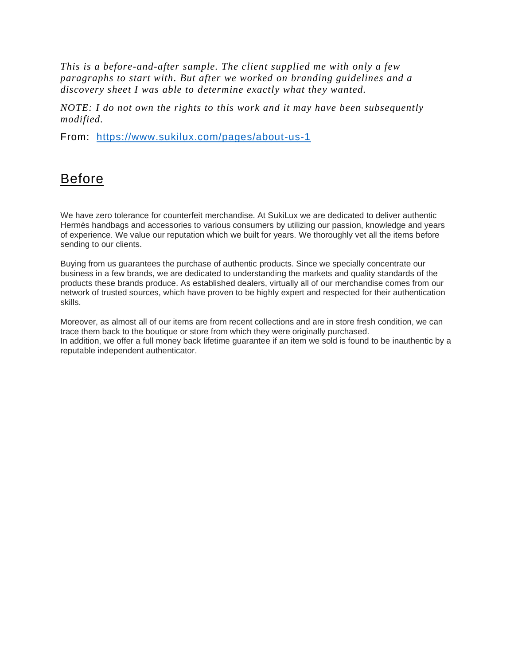*This is a before-and-after sample. The client supplied me with only a few paragraphs to start with. But after we worked on branding guidelines and a discovery sheet I was able to determine exactly what they wanted.*

*NOTE: I do not own the rights to this work and it may have been subsequently modified.*

From: <https://www.sukilux.com/pages/about-us-1>

# Before

We have zero tolerance for counterfeit merchandise. At SukiLux we are dedicated to deliver authentic Hermès handbags and accessories to various consumers by utilizing our passion, knowledge and years of experience. We value our reputation which we built for years. We thoroughly vet all the items before sending to our clients.

Buying from us guarantees the purchase of authentic products. Since we specially concentrate our business in a few brands, we are dedicated to understanding the markets and quality standards of the products these brands produce. As established dealers, virtually all of our merchandise comes from our network of trusted sources, which have proven to be highly expert and respected for their authentication skills.

Moreover, as almost all of our items are from recent collections and are in store fresh condition, we can trace them back to the boutique or store from which they were originally purchased. In addition, we offer a full money back lifetime guarantee if an item we sold is found to be inauthentic by a reputable independent authenticator.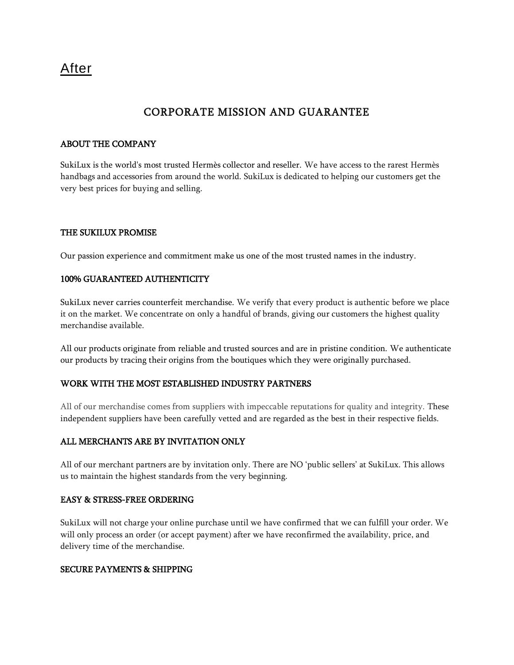After

## CORPORATE MISSION AND GUARANTEE

#### ABOUT THE COMPANY

SukiLux is the world's most trusted Hermès collector and reseller. We have access to the rarest Hermès handbags and accessories from around the world. SukiLux is dedicated to helping our customers get the very best prices for buying and selling.

#### THE SUKILUX PROMISE

Our passion experience and commitment make us one of the most trusted names in the industry.

#### 100% GUARANTEED AUTHENTICITY

SukiLux never carries counterfeit merchandise. We verify that every product is authentic before we place it on the market. We concentrate on only a handful of brands, giving our customers the highest quality merchandise available.

All our products originate from reliable and trusted sources and are in pristine condition. We authenticate our products by tracing their origins from the boutiques which they were originally purchased.

#### WORK WITH THE MOST ESTABLISHED INDUSTRY PARTNERS

All of our merchandise comes from suppliers with impeccable reputations for quality and integrity. These independent suppliers have been carefully vetted and are regarded as the best in their respective fields.

#### ALL MERCHANTS ARE BY INVITATION ONLY

All of our merchant partners are by invitation only. There are NO 'public sellers' at SukiLux. This allows us to maintain the highest standards from the very beginning.

#### EASY & STRESS-FREE ORDERING

SukiLux will not charge your online purchase until we have confirmed that we can fulfill your order. We will only process an order (or accept payment) after we have reconfirmed the availability, price, and delivery time of the merchandise.

#### SECURE PAYMENTS & SHIPPING